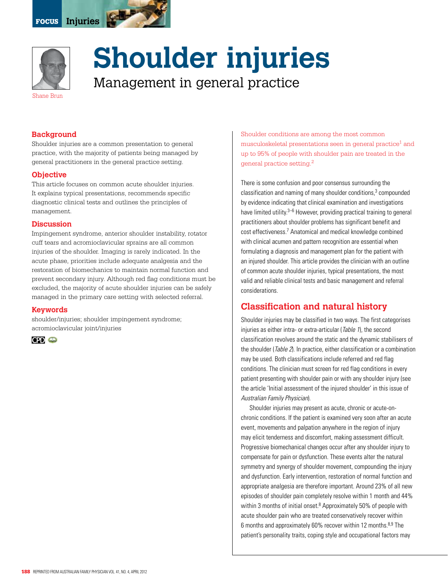



# **Shoulder injuries**

Management in general practice

#### **Background**

Shoulder injuries are a common presentation to general practice, with the majority of patients being managed by general practitioners in the general practice setting.

#### **Objective**

This article focuses on common acute shoulder injuries. It explains typical presentations, recommends specific diagnostic clinical tests and outlines the principles of management.

#### **Discussion**

Impingement syndrome, anterior shoulder instability, rotator cuff tears and acromioclavicular sprains are all common injuries of the shoulder. Imaging is rarely indicated. In the acute phase, priorities include adequate analgesia and the restoration of biomechanics to maintain normal function and prevent secondary injury. Although red flag conditions must be excluded, the majority of acute shoulder injuries can be safely managed in the primary care setting with selected referral.

#### **Keywords**

shoulder/injuries; shoulder impingement syndrome; acromioclavicular joint/injuries



Shoulder conditions are among the most common musculoskeletal presentations seen in general practice<sup>1</sup> and up to 95% of people with shoulder pain are treated in the general practice setting.2

There is some confusion and poor consensus surrounding the classification and naming of many shoulder conditions, $3$  compounded by evidence indicating that clinical examination and investigations have limited utility.<sup>3–6</sup> However, providing practical training to general practitioners about shoulder problems has significant benefit and cost effectiveness.<sup>7</sup> Anatomical and medical knowledge combined with clinical acumen and pattern recognition are essential when formulating a diagnosis and management plan for the patient with an injured shoulder. This article provides the clinician with an outline of common acute shoulder injuries, typical presentations, the most valid and reliable clinical tests and basic management and referral considerations.

## **Classification and natural history**

Shoulder injuries may be classified in two ways. The first categorises injuries as either intra- or extra-articular (Table 1), the second classification revolves around the static and the dynamic stabilisers of the shoulder (*Table 2*). In practice, either classification or a combination may be used. Both classifications include referred and red flag conditions. The clinician must screen for red flag conditions in every patient presenting with shoulder pain or with any shoulder injury (see the article 'Initial assessment of the injured shoulder' in this issue of Australian Family Physician).

Shoulder injuries may present as acute, chronic or acute-onchronic conditions. If the patient is examined very soon after an acute event, movements and palpation anywhere in the region of injury may elicit tenderness and discomfort, making assessment difficult. Progressive biomechanical changes occur after any shoulder injury to compensate for pain or dysfunction. These events alter the natural symmetry and synergy of shoulder movement, compounding the injury and dysfunction. Early intervention, restoration of normal function and appropriate analgesia are therefore important. Around 23% of all new episodes of shoulder pain completely resolve within 1 month and 44% within 3 months of initial onset.<sup>8</sup> Approximately 50% of people with acute shoulder pain who are treated conservatively recover within 6 months and approximately 60% recover within 12 months.8,9 The patient's personality traits, coping style and occupational factors may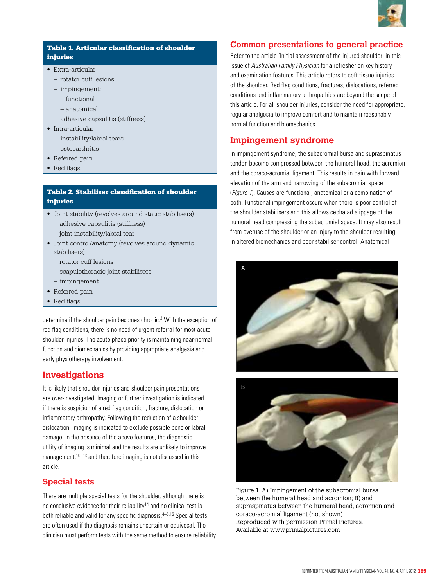

#### Table 1. Articular classification of shoulder injuries

- • Extra-articular
	- rotator cuff lesions
	- impingement:
		- functional
		- anatomical
	- – adhesive capsulitis (stiffness)
- Intra-articular
	- instability/labral tears
- osteoarthritis
- Referred pain
- Red flags

#### Table 2. Stabiliser classification of shoulder injuries

- • Joint stability (revolves around static stabilisers)
	- – adhesive capsulitis (stiffness)
	- joint instability/labral tear
- Joint control/anatomy (revolves around dynamic stabilisers)
	- rotator cuff lesions
	- scapulothoracic joint stabilisers
	- impingement
- Referred pain
- Red flags

determine if the shoulder pain becomes chronic.2 With the exception of red flag conditions, there is no need of urgent referral for most acute shoulder injuries. The acute phase priority is maintaining near-normal function and biomechanics by providing appropriate analgesia and early physiotherapy involvement.

# **Investigations**

It is likely that shoulder injuries and shoulder pain presentations are over-investigated. Imaging or further investigation is indicated if there is suspicion of a red flag condition, fracture, dislocation or inflammatory arthropathy. Following the reduction of a shoulder dislocation, imaging is indicated to exclude possible bone or labral damage. In the absence of the above features, the diagnostic utility of imaging is minimal and the results are unlikely to improve management,<sup>10–13</sup> and therefore imaging is not discussed in this article.

## **Special tests**

There are multiple special tests for the shoulder, although there is no conclusive evidence for their reliability<sup>14</sup> and no clinical test is both reliable and valid for any specific diagnosis. $4-6,15$  Special tests are often used if the diagnosis remains uncertain or equivocal. The clinician must perform tests with the same method to ensure reliability.

#### **Common presentations to general practice**

Refer to the article 'Initial assessment of the injured shoulder' in this issue of Australian Family Physician for a refresher on key history and examination features. This article refers to soft tissue injuries of the shoulder. Red flag conditions, fractures, dislocations, referred conditions and inflammatory arthropathies are beyond the scope of this article. For all shoulder injuries, consider the need for appropriate, regular analgesia to improve comfort and to maintain reasonably normal function and biomechanics.

# **Impingement syndrome**

In impingement syndrome, the subacromial bursa and supraspinatus tendon become compressed between the humeral head, the acromion and the coraco-acromial ligament. This results in pain with forward elevation of the arm and narrowing of the subacromial space (Figure 1). Causes are functional, anatomical or a combination of both. Functional impingement occurs when there is poor control of the shoulder stabilisers and this allows cephalad slippage of the humoral head compressing the subacromial space. It may also result from overuse of the shoulder or an injury to the shoulder resulting in altered biomechanics and poor stabiliser control. Anatomical





Figure 1. A) Impingement of the subacromial bursa between the humeral head and acromion; B) and supraspinatus between the humeral head, acromion and coraco-acromial ligament (not shown) Reproduced with permission Primal Pictures. Available at www.primalpictures.com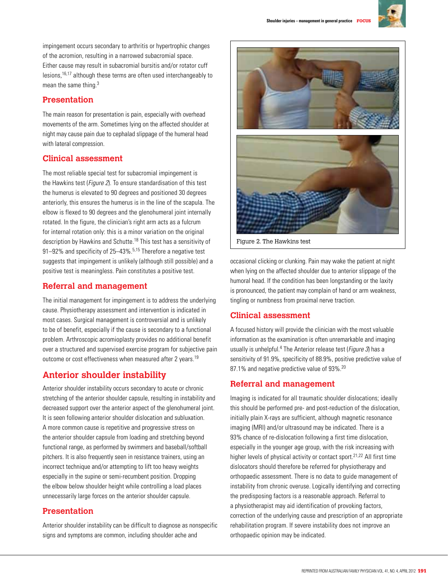

impingement occurs secondary to arthritis or hypertrophic changes of the acromion, resulting in a narrowed subacromial space. Either cause may result in subacromial bursitis and/or rotator cuff lesions,16,17 although these terms are often used interchangeably to mean the same thing.3

## **Presentation**

The main reason for presentation is pain, especially with overhead movements of the arm. Sometimes lying on the affected shoulder at night may cause pain due to cephalad slippage of the humeral head with lateral compression.

## **Clinical assessment**

The most reliable special test for subacromial impingement is the Hawkins test (Figure 2). To ensure standardisation of this test the humerus is elevated to 90 degrees and positioned 30 degrees anteriorly, this ensures the humerus is in the line of the scapula. The elbow is flexed to 90 degrees and the glenohumeral joint internally rotated. In the figure, the clinician's right arm acts as a fulcrum for internal rotation only: this is a minor variation on the original description by Hawkins and Schutte.<sup>18</sup> This test has a sensitivity of 91–92% and specificity of 25–43%.<sup>5,15</sup> Therefore a negative test suggests that impingement is unlikely (although still possible) and a positive test is meaningless. Pain constitutes a positive test.

#### **Referral and management**

The initial management for impingement is to address the underlying cause. Physiotherapy assessment and intervention is indicated in most cases. Surgical management is controversial and is unlikely to be of benefit, especially if the cause is secondary to a functional problem. Arthroscopic acromioplasty provides no additional benefit over a structured and supervised exercise program for subjective pain outcome or cost effectiveness when measured after 2 years.<sup>19</sup>

# **Anterior shoulder instability**

Anterior shoulder instability occurs secondary to acute or chronic stretching of the anterior shoulder capsule, resulting in instability and decreased support over the anterior aspect of the glenohumeral joint. It is seen following anterior shoulder dislocation and subluxation. A more common cause is repetitive and progressive stress on the anterior shoulder capsule from loading and stretching beyond functional range, as performed by swimmers and baseball/softball pitchers. It is also frequently seen in resistance trainers, using an incorrect technique and/or attempting to lift too heavy weights especially in the supine or semi-recumbent position. Dropping the elbow below shoulder height while controlling a load places unnecessarily large forces on the anterior shoulder capsule.

## **Presentation**

Anterior shoulder instability can be difficult to diagnose as nonspecific signs and symptoms are common, including shoulder ache and



Figure 2. The Hawkins test

occasional clicking or clunking. Pain may wake the patient at night when lying on the affected shoulder due to anterior slippage of the humoral head. If the condition has been longstanding or the laxity is pronounced, the patient may complain of hand or arm weakness, tingling or numbness from proximal nerve traction.

#### **Clinical assessment**

A focused history will provide the clinician with the most valuable information as the examination is often unremarkable and imaging usually is unhelpful.<sup>4</sup> The Anterior release test (Figure 3) has a sensitivity of 91.9%, specificity of 88.9%, positive predictive value of 87.1% and negative predictive value of 93%.<sup>20</sup>

## **Referral and management**

Imaging is indicated for all traumatic shoulder dislocations; ideally this should be performed pre- and post-reduction of the dislocation, initially plain X-rays are sufficient, although magnetic resonance imaging (MRI) and/or ultrasound may be indicated. There is a 93% chance of re-dislocation following a first time dislocation, especially in the younger age group, with the risk increasing with higher levels of physical activity or contact sport.21,22 All first time dislocators should therefore be referred for physiotherapy and orthopaedic assessment. There is no data to guide management of instability from chronic overuse. Logically identifying and correcting the predisposing factors is a reasonable approach. Referral to a physiotherapist may aid identification of provoking factors, correction of the underlying cause and prescription of an appropriate rehabilitation program. If severe instability does not improve an orthopaedic opinion may be indicated.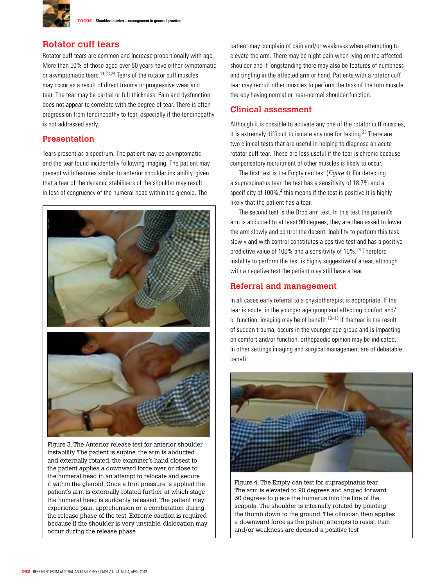

# **Rotator cuff tears**

Rotator cuff tears are common and increase proportionally with age. More than 50% of those aged over 50 years have either symptomatic or asymptomatic tears.11,23,24 Tears of the rotator cuff muscles may occur as a result of direct trauma or progressive wear and tear. The tear may be partial or full thickness. Pain and dysfunction does not appear to correlate with the degree of tear. There is often progression from tendinopathy to tear, especially if the tendinopathy is not addressed early.

## **Presentation**

Tears present as a spectrum. The patient may be asymptomatic and the tear found incidentally following imaging. The patient may present with features similar to anterior shoulder instability, given that a tear of the dynamic stabilisers of the shoulder may result in loss of congruency of the humeral head within the glenoid. The



Figure 3. The Anterior release test for anterior shoulder instability. The patient is supine, the arm is abducted and externally rotated, the examiner's hand closest to the patient applies a downward force over or close to the humeral head in an attempt to relocate and secure it within the glenoid. Once a firm pressure is applied the patient's arm is externally rotated further at which stage the humeral head is suddenly released. The patient may experience pain, apprehension or a combination during the release phase of the test. Extreme caution is required because if the shoulder is very unstable, dislocation may occur during the release phase

patient may complain of pain and/or weakness when attempting to elevate the arm. There may be night pain when lying on the affected shoulder and if longstanding there may also be features of numbness and tingling in the affected arm or hand. Patients with a rotator cuff tear may recruit other muscles to perform the task of the torn muscle, thereby having normal or near-normal shoulder function.

#### **Clinical assessment**

Although it is possible to activate any one of the rotator cuff muscles, it is extremely difficult to isolate any one for testing.<sup>25</sup> There are two clinical tests that are useful in helping to diagnose an acute rotator cuff tear. These are less useful if the tear is chronic because compensatory recruitment of other muscles is likely to occur.

The first test is the Empty can test (*Figure 4*). For detecting a supraspinatus tear the test has a sensitivity of 18.7% and a specificity of 100%,<sup>4</sup> this means if the test is positive it is highly likely that the patient has a tear.

The second test is the Drop arm test. In this test the patient's arm is abducted to at least 90 degrees, they are then asked to lower the arm slowly and control the decent. Inability to perform this task slowly and with control constitutes a positive test and has a positive predictive value of 100% and a sensitivity of 10%.26 Therefore inability to perform the test is highly suggestive of a tear, although with a negative test the patient may still have a tear.

## **Referral and management**

In all cases early referral to a physiotherapist is appropriate. If the tear is acute, in the younger age group and affecting comfort and/ or function, imaging may be of benefit.<sup>10–13</sup> If the tear is the result of sudden trauma, occurs in the younger age group and is impacting on comfort and/or function, orthopaedic opinion may be indicated. In other settings imaging and surgical management are of debatable benefit.



Figure 4. The Empty can test for supraspinatus tear. The arm is elevated to 90 degrees and angled forward 30 degrees to place the humerus into the line of the scapula. The shoulder is internally rotated by pointing the thumb down to the ground. The clinician then applies a downward force as the patient attempts to resist. Pain and/or weakness are deemed a positive test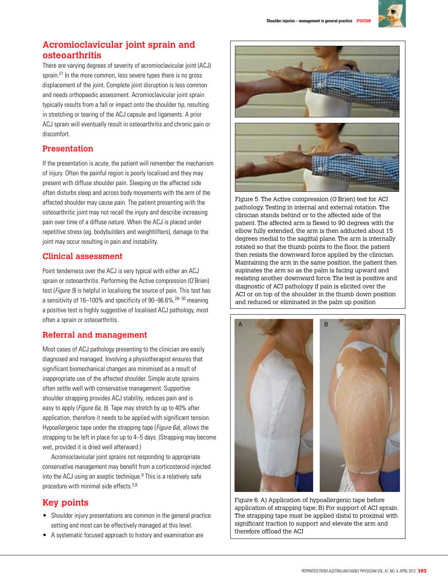

# **Acromioclavicular joint sprain and osteoarthritis**

There are varying degrees of severity of acromioclavicular joint (ACJ) sprain.<sup>27</sup> In the more common, less severe types there is no gross displacement of the joint. Complete joint disruption is less common and needs orthopaedic assessment. Acromioclavicular joint sprain typically results from a fall or impact onto the shoulder tip, resulting in stretching or tearing of the ACJ capsule and ligaments. A prior ACJ sprain will eventually result in osteoarthritis and chronic pain or discomfort.

# **Presentation**

If the presentation is acute, the patient will remember the mechanism of injury. Often the painful region is poorly localised and they may present with diffuse shoulder pain. Sleeping on the affected side often disturbs sleep and across body movements with the arm of the affected shoulder may cause pain. The patient presenting with the osteoarthritic joint may not recall the injury and describe increasing pain over time of a diffuse nature. When the ACJ is placed under repetitive stress (eg. bodybuilders and weightlifters), damage to the joint may occur resulting in pain and instability.

# **Clinical assessment**

Point tenderness over the ACJ is very typical with either an ACJ sprain or osteoarthritis. Performing the Active compression (O'Brien) test (*Figure 5*) is helpful in localising the source of pain. This test has a sensitivity of 16–100% and specificity of 90–96.6%,28–30 meaning a positive test is highly suggestive of localised ACJ pathology, most often a sprain or osteoarthritis.

# **Referral and management**

Most cases of ACJ pathology presenting to the clinician are easily diagnosed and managed. Involving a physiotherapist ensures that significant biomechanical changes are minimised as a result of inappropriate use of the affected shoulder. Simple acute sprains often settle well with conservative management. Supportive shoulder strapping provides ACJ stability, reduces pain and is easy to apply (*Figure 6a, b*). Tape may stretch by up to 40% after application, therefore it needs to be applied with significant tension. Hypoallergenic tape under the strapping tape (*Figure 6a*), allows the strapping to be left in place for up to 4–5 days. (Strapping may become wet, provided it is dried well afterward.)

Acromioclavicular joint sprains not responding to appropriate conservative management may benefit from a corticosteroid injected into the ACJ using an aseptic technique. $9$  This is a relatively safe procedure with minimal side effects.3,8

# **Key points**

- Shoulder injury presentations are common in the general practice setting and most can be effectively managed at this level.
- • A systematic focused approach to history and examination are



Figure 5. The Active compression (O'Brien) test for ACJ pathology. Testing in internal and external rotation. The clinician stands behind or to the affected side of the patient. The affected arm is flexed to 90 degrees with the elbow fully extended, the arm is then adducted about 15 degrees medial to the sagittal plane. The arm is internally rotated so that the thumb points to the floor, the patient then resists the downward force applied by the clinician. Maintaining the arm in the same position, the patient then supinates the arm so as the palm is facing upward and resisting another downward force. The test is positive and diagnostic of ACJ pathology if pain is elicited over the ACJ or on top of the shoulder in the thumb down position and reduced or eliminated in the palm up position



Figure 6. A) Application of hypoallergenic tape before application of strapping tape; B) For support of ACJ sprain. The strapping tape must be applied distal to proximal with significant traction to support and elevate the arm and therefore offload the ACJ